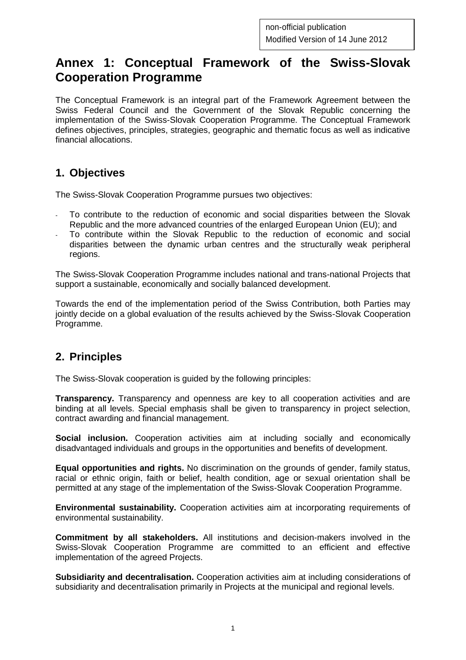# **Annex 1: Conceptual Framework of the Swiss-Slovak Cooperation Programme**

The Conceptual Framework is an integral part of the Framework Agreement between the Swiss Federal Council and the Government of the Slovak Republic concerning the implementation of the Swiss-Slovak Cooperation Programme. The Conceptual Framework defines objectives, principles, strategies, geographic and thematic focus as well as indicative financial allocations.

### **1. Objectives**

The Swiss-Slovak Cooperation Programme pursues two objectives:

- To contribute to the reduction of economic and social disparities between the Slovak Republic and the more advanced countries of the enlarged European Union (EU); and
- To contribute within the Slovak Republic to the reduction of economic and social disparities between the dynamic urban centres and the structurally weak peripheral regions.

The Swiss-Slovak Cooperation Programme includes national and trans-national Projects that support a sustainable, economically and socially balanced development.

Towards the end of the implementation period of the Swiss Contribution, both Parties may jointly decide on a global evaluation of the results achieved by the Swiss-Slovak Cooperation Programme.

# **2. Principles**

The Swiss-Slovak cooperation is guided by the following principles:

**Transparency.** Transparency and openness are key to all cooperation activities and are binding at all levels. Special emphasis shall be given to transparency in project selection, contract awarding and financial management.

**Social inclusion.** Cooperation activities aim at including socially and economically disadvantaged individuals and groups in the opportunities and benefits of development.

**Equal opportunities and rights.** No discrimination on the grounds of gender, family status, racial or ethnic origin, faith or belief, health condition, age or sexual orientation shall be permitted at any stage of the implementation of the Swiss-Slovak Cooperation Programme.

**Environmental sustainability.** Cooperation activities aim at incorporating requirements of environmental sustainability.

**Commitment by all stakeholders.** All institutions and decision-makers involved in the Swiss-Slovak Cooperation Programme are committed to an efficient and effective implementation of the agreed Projects.

**Subsidiarity and decentralisation.** Cooperation activities aim at including considerations of subsidiarity and decentralisation primarily in Projects at the municipal and regional levels.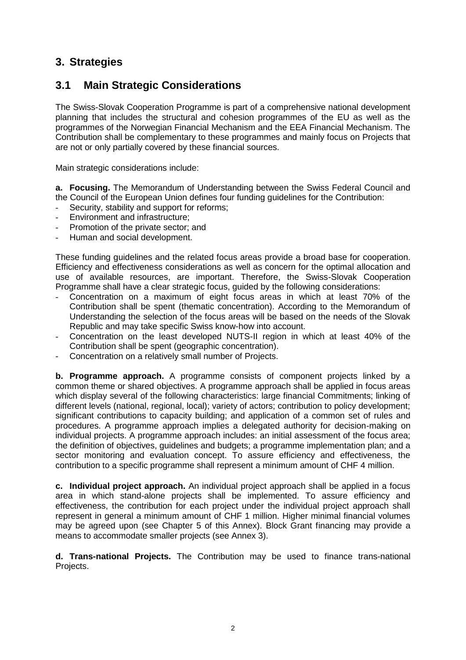### **3. Strategies**

#### **3.1 Main Strategic Considerations**

The Swiss-Slovak Cooperation Programme is part of a comprehensive national development planning that includes the structural and cohesion programmes of the EU as well as the programmes of the Norwegian Financial Mechanism and the EEA Financial Mechanism. The Contribution shall be complementary to these programmes and mainly focus on Projects that are not or only partially covered by these financial sources.

Main strategic considerations include:

**a. Focusing.** The Memorandum of Understanding between the Swiss Federal Council and the Council of the European Union defines four funding guidelines for the Contribution:

- Security, stability and support for reforms;
- Environment and infrastructure;
- Promotion of the private sector; and
- Human and social development.

These funding guidelines and the related focus areas provide a broad base for cooperation. Efficiency and effectiveness considerations as well as concern for the optimal allocation and use of available resources, are important. Therefore, the Swiss-Slovak Cooperation Programme shall have a clear strategic focus, guided by the following considerations:

- Concentration on a maximum of eight focus areas in which at least 70% of the Contribution shall be spent (thematic concentration). According to the Memorandum of Understanding the selection of the focus areas will be based on the needs of the Slovak Republic and may take specific Swiss know-how into account.
- Concentration on the least developed NUTS-II region in which at least 40% of the Contribution shall be spent (geographic concentration).
- Concentration on a relatively small number of Projects.

**b. Programme approach.** A programme consists of component projects linked by a common theme or shared objectives. A programme approach shall be applied in focus areas which display several of the following characteristics: large financial Commitments; linking of different levels (national, regional, local); variety of actors; contribution to policy development; significant contributions to capacity building; and application of a common set of rules and procedures. A programme approach implies a delegated authority for decision-making on individual projects. A programme approach includes: an initial assessment of the focus area; the definition of objectives, guidelines and budgets; a programme implementation plan; and a sector monitoring and evaluation concept. To assure efficiency and effectiveness, the contribution to a specific programme shall represent a minimum amount of CHF 4 million.

**c. Individual project approach.** An individual project approach shall be applied in a focus area in which stand-alone projects shall be implemented. To assure efficiency and effectiveness, the contribution for each project under the individual project approach shall represent in general a minimum amount of CHF 1 million. Higher minimal financial volumes may be agreed upon (see Chapter 5 of this Annex). Block Grant financing may provide a means to accommodate smaller projects (see Annex 3).

**d. Trans-national Projects.** The Contribution may be used to finance trans-national Projects.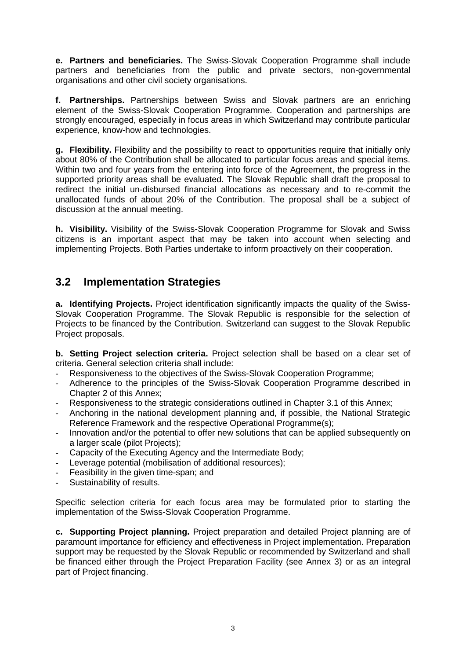**e. Partners and beneficiaries.** The Swiss-Slovak Cooperation Programme shall include partners and beneficiaries from the public and private sectors, non-governmental organisations and other civil society organisations.

**f. Partnerships.** Partnerships between Swiss and Slovak partners are an enriching element of the Swiss-Slovak Cooperation Programme. Cooperation and partnerships are strongly encouraged, especially in focus areas in which Switzerland may contribute particular experience, know-how and technologies.

**g. Flexibility.** Flexibility and the possibility to react to opportunities require that initially only about 80% of the Contribution shall be allocated to particular focus areas and special items. Within two and four years from the entering into force of the Agreement, the progress in the supported priority areas shall be evaluated. The Slovak Republic shall draft the proposal to redirect the initial un-disbursed financial allocations as necessary and to re-commit the unallocated funds of about 20% of the Contribution. The proposal shall be a subject of discussion at the annual meeting.

**h. Visibility.** Visibility of the Swiss-Slovak Cooperation Programme for Slovak and Swiss citizens is an important aspect that may be taken into account when selecting and implementing Projects. Both Parties undertake to inform proactively on their cooperation.

#### **3.2 Implementation Strategies**

**a. Identifying Projects.** Project identification significantly impacts the quality of the Swiss-Slovak Cooperation Programme. The Slovak Republic is responsible for the selection of Projects to be financed by the Contribution. Switzerland can suggest to the Slovak Republic Project proposals.

**b. Setting Project selection criteria.** Project selection shall be based on a clear set of criteria. General selection criteria shall include:

- Responsiveness to the objectives of the Swiss-Slovak Cooperation Programme;
- Adherence to the principles of the Swiss-Slovak Cooperation Programme described in Chapter 2 of this Annex;
- Responsiveness to the strategic considerations outlined in Chapter 3.1 of this Annex;
- Anchoring in the national development planning and, if possible, the National Strategic Reference Framework and the respective Operational Programme(s);
- Innovation and/or the potential to offer new solutions that can be applied subsequently on a larger scale (pilot Projects);
- Capacity of the Executing Agency and the Intermediate Body;
- Leverage potential (mobilisation of additional resources);
- Feasibility in the given time-span; and
- Sustainability of results.

Specific selection criteria for each focus area may be formulated prior to starting the implementation of the Swiss-Slovak Cooperation Programme.

**c. Supporting Project planning.** Project preparation and detailed Project planning are of paramount importance for efficiency and effectiveness in Project implementation. Preparation support may be requested by the Slovak Republic or recommended by Switzerland and shall be financed either through the Project Preparation Facility (see Annex 3) or as an integral part of Project financing.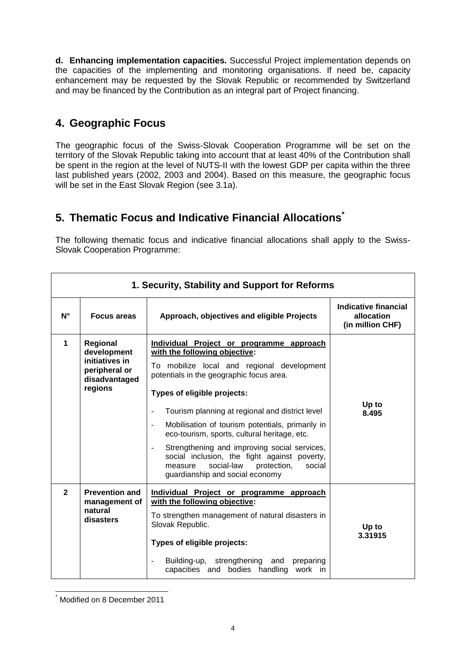**d. Enhancing implementation capacities.** Successful Project implementation depends on the capacities of the implementing and monitoring organisations. If need be, capacity enhancement may be requested by the Slovak Republic or recommended by Switzerland and may be financed by the Contribution as an integral part of Project financing.

# **4. Geographic Focus**

The geographic focus of the Swiss-Slovak Cooperation Programme will be set on the territory of the Slovak Republic taking into account that at least 40% of the Contribution shall be spent in the region at the level of NUTS-II with the lowest GDP per capita within the three last published years (2002, 2003 and 2004). Based on this measure, the geographic focus will be set in the East Slovak Region (see 3.1a).

### **5. Thematic Focus and Indicative Financial Allocations\***

The following thematic focus and indicative financial allocations shall apply to the Swiss-Slovak Cooperation Programme:

| 1. Security, Stability and Support for Reforms |                                                                           |                                                                                                                                                                                   |                                                        |
|------------------------------------------------|---------------------------------------------------------------------------|-----------------------------------------------------------------------------------------------------------------------------------------------------------------------------------|--------------------------------------------------------|
| $N^{\circ}$                                    | <b>Focus areas</b>                                                        | Approach, objectives and eligible Projects                                                                                                                                        | Indicative financial<br>allocation<br>(in million CHF) |
| 1<br>Regional<br>development                   | Individual Project or programme approach<br>with the following objective: |                                                                                                                                                                                   |                                                        |
|                                                | initiatives in<br>peripheral or<br>disadvantaged                          | To mobilize local and regional development<br>potentials in the geographic focus area.                                                                                            |                                                        |
|                                                | regions                                                                   | Types of eligible projects:                                                                                                                                                       |                                                        |
|                                                |                                                                           | Tourism planning at regional and district level                                                                                                                                   | Up to<br>8.495                                         |
|                                                |                                                                           | Mobilisation of tourism potentials, primarily in<br>eco-tourism, sports, cultural heritage, etc.                                                                                  |                                                        |
|                                                |                                                                           | Strengthening and improving social services,<br>social inclusion, the fight against poverty,<br>social-law<br>protection,<br>social<br>measure<br>guardianship and social economy |                                                        |
| $\overline{2}$                                 | <b>Prevention and</b><br>management of<br>natural<br>disasters            | Individual Project or programme approach<br>with the following objective:                                                                                                         |                                                        |
|                                                |                                                                           | To strengthen management of natural disasters in<br>Slovak Republic.                                                                                                              | Up to                                                  |
|                                                |                                                                           | Types of eligible projects:                                                                                                                                                       | 3.31915                                                |
|                                                |                                                                           | Building-up, strengthening and<br>preparing<br>$\overline{a}$<br>capacities and bodies handling<br>work in                                                                        |                                                        |

Modified on 8 December 2011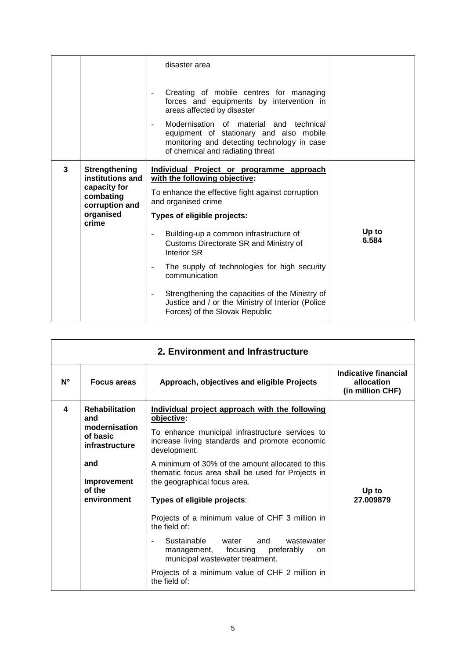|   |                                                                                                               | disaster area<br>Creating of mobile centres for managing<br>forces and equipments by intervention in<br>areas affected by disaster<br>Modernisation of material and technical<br>equipment of stationary and also mobile<br>monitoring and detecting technology in case<br>of chemical and radiating threat                                                                                                                                                                                                                                                        |                |
|---|---------------------------------------------------------------------------------------------------------------|--------------------------------------------------------------------------------------------------------------------------------------------------------------------------------------------------------------------------------------------------------------------------------------------------------------------------------------------------------------------------------------------------------------------------------------------------------------------------------------------------------------------------------------------------------------------|----------------|
| 3 | <b>Strengthening</b><br>institutions and<br>capacity for<br>combating<br>corruption and<br>organised<br>crime | Individual Project or programme approach<br>with the following objective:<br>To enhance the effective fight against corruption<br>and organised crime<br>Types of eligible projects:<br>Building-up a common infrastructure of<br>$\blacksquare$<br>Customs Directorate SR and Ministry of<br>Interior SR<br>The supply of technologies for high security<br>$\blacksquare$<br>communication<br>Strengthening the capacities of the Ministry of<br>$\overline{\phantom{a}}$<br>Justice and / or the Ministry of Interior (Police<br>Forces) of the Slovak Republic | Up to<br>6.584 |

| 2. Environment and Infrastructure |                                               |                                                                                                                                             |                                                        |
|-----------------------------------|-----------------------------------------------|---------------------------------------------------------------------------------------------------------------------------------------------|--------------------------------------------------------|
| $N^{\circ}$                       | <b>Focus areas</b>                            | Approach, objectives and eligible Projects                                                                                                  | Indicative financial<br>allocation<br>(in million CHF) |
| 4                                 | <b>Rehabilitation</b><br>and<br>modernisation | Individual project approach with the following<br>objective:<br>To enhance municipal infrastructure services to                             |                                                        |
|                                   | of basic<br>infrastructure                    | increase living standards and promote economic<br>development.                                                                              |                                                        |
|                                   | and<br>Improvement                            | A minimum of 30% of the amount allocated to this<br>thematic focus area shall be used for Projects in<br>the geographical focus area.       | Up to<br>27.009879                                     |
|                                   | of the<br>environment                         | Types of eligible projects:                                                                                                                 |                                                        |
|                                   |                                               | Projects of a minimum value of CHF 3 million in<br>the field of:                                                                            |                                                        |
|                                   |                                               | Sustainable<br>water<br>and<br>wastewater<br>$\blacksquare$<br>management, focusing<br>preferably<br>on.<br>municipal wastewater treatment. |                                                        |
|                                   |                                               | Projects of a minimum value of CHF 2 million in<br>the field of:                                                                            |                                                        |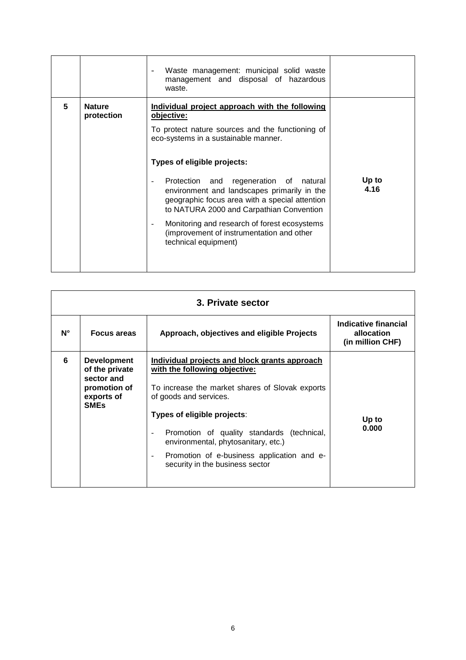|   |                             | Waste management: municipal solid waste<br>management and disposal of hazardous<br>waste.                                                                                                                                                                                                                                                                                                                                                                                                              |               |
|---|-----------------------------|--------------------------------------------------------------------------------------------------------------------------------------------------------------------------------------------------------------------------------------------------------------------------------------------------------------------------------------------------------------------------------------------------------------------------------------------------------------------------------------------------------|---------------|
| 5 | <b>Nature</b><br>protection | Individual project approach with the following<br>objective:<br>To protect nature sources and the functioning of<br>eco-systems in a sustainable manner.<br>Types of eligible projects:<br>Protection and regeneration of<br>natural<br>environment and landscapes primarily in the<br>geographic focus area with a special attention<br>to NATURA 2000 and Carpathian Convention<br>Monitoring and research of forest ecosystems<br>(improvement of instrumentation and other<br>technical equipment) | Up to<br>4.16 |

| 3. Private sector |                                                                                                 |                                                                                                                                                                                            |                                                        |
|-------------------|-------------------------------------------------------------------------------------------------|--------------------------------------------------------------------------------------------------------------------------------------------------------------------------------------------|--------------------------------------------------------|
| $N^{\circ}$       | <b>Focus areas</b>                                                                              | Approach, objectives and eligible Projects                                                                                                                                                 | Indicative financial<br>allocation<br>(in million CHF) |
| 6                 | <b>Development</b><br>of the private<br>sector and<br>promotion of<br>exports of<br><b>SMEs</b> | Individual projects and block grants approach<br>with the following objective:<br>To increase the market shares of Slovak exports<br>of goods and services.<br>Types of eligible projects: |                                                        |
|                   |                                                                                                 | Promotion of quality standards (technical,<br>environmental, phytosanitary, etc.)<br>Promotion of e-business application and e-<br>security in the business sector                         | Up to<br>0.000                                         |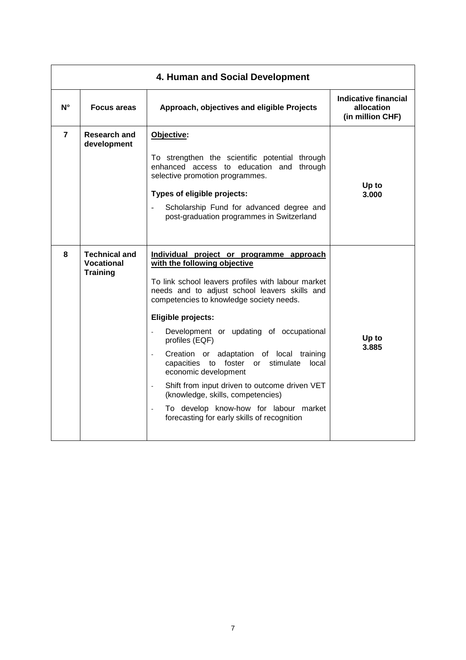| 4. Human and Social Development |                                                              |                                                                                                                                                                                                                                                                                                                                                                                                                                                                                                                                                                                                                                                                    |                                                        |
|---------------------------------|--------------------------------------------------------------|--------------------------------------------------------------------------------------------------------------------------------------------------------------------------------------------------------------------------------------------------------------------------------------------------------------------------------------------------------------------------------------------------------------------------------------------------------------------------------------------------------------------------------------------------------------------------------------------------------------------------------------------------------------------|--------------------------------------------------------|
| $N^{\circ}$                     | <b>Focus areas</b>                                           | Approach, objectives and eligible Projects                                                                                                                                                                                                                                                                                                                                                                                                                                                                                                                                                                                                                         | Indicative financial<br>allocation<br>(in million CHF) |
| $\overline{7}$                  | <b>Research and</b><br>development                           | Objective:<br>To strengthen the scientific potential through<br>enhanced access to education and<br>through<br>selective promotion programmes.<br>Types of eligible projects:<br>Scholarship Fund for advanced degree and<br>$\mathbb{L}$<br>post-graduation programmes in Switzerland                                                                                                                                                                                                                                                                                                                                                                             | Up to<br>3.000                                         |
| 8                               | <b>Technical and</b><br><b>Vocational</b><br><b>Training</b> | Individual project or programme approach<br>with the following objective<br>To link school leavers profiles with labour market<br>needs and to adjust school leavers skills and<br>competencies to knowledge society needs.<br>Eligible projects:<br>Development or updating of occupational<br>profiles (EQF)<br>Creation or adaptation of local training<br>$\ddot{\phantom{a}}$<br>capacities to foster or stimulate<br>local<br>economic development<br>Shift from input driven to outcome driven VET<br>$\blacksquare$<br>(knowledge, skills, competencies)<br>To develop know-how for labour market<br>$\sim$<br>forecasting for early skills of recognition | Up to<br>3.885                                         |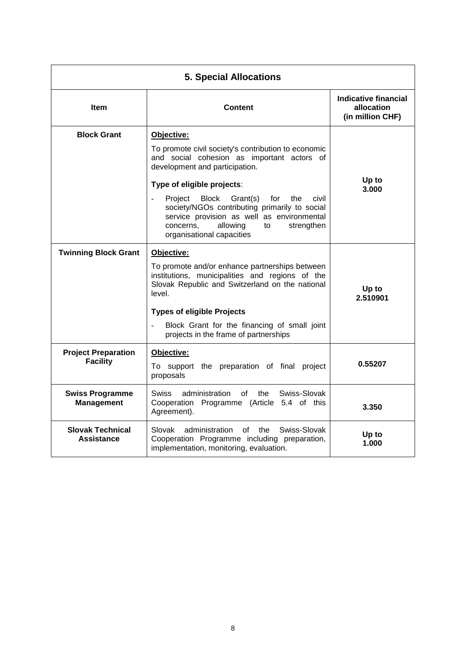| <b>5. Special Allocations</b>                 |                                                                                                                                                                                                                                                                                                                                                                                                                 |                                                        |
|-----------------------------------------------|-----------------------------------------------------------------------------------------------------------------------------------------------------------------------------------------------------------------------------------------------------------------------------------------------------------------------------------------------------------------------------------------------------------------|--------------------------------------------------------|
| <b>Item</b>                                   | <b>Content</b>                                                                                                                                                                                                                                                                                                                                                                                                  | Indicative financial<br>allocation<br>(in million CHF) |
| <b>Block Grant</b>                            | Objective:<br>To promote civil society's contribution to economic<br>and social cohesion as important actors of<br>development and participation.<br>Type of eligible projects:<br>Block<br>Project<br>Grant(s)<br>for<br>the<br>civil<br>society/NGOs contributing primarily to social<br>service provision as well as environmental<br>allowing<br>concerns,<br>strengthen<br>to<br>organisational capacities | Up to<br>3.000                                         |
| <b>Twinning Block Grant</b>                   | Objective:<br>To promote and/or enhance partnerships between<br>institutions, municipalities and regions of the<br>Slovak Republic and Switzerland on the national<br>level.<br><b>Types of eligible Projects</b><br>Block Grant for the financing of small joint<br>projects in the frame of partnerships                                                                                                      | Up to<br>2.510901                                      |
| <b>Project Preparation</b><br><b>Facility</b> | Objective:<br>To support the preparation of final project<br>proposals                                                                                                                                                                                                                                                                                                                                          | 0.55207                                                |
| <b>Swiss Programme</b><br><b>Management</b>   | Swiss<br>of<br>the<br>Swiss-Slovak<br>administration<br>Cooperation Programme (Article 5.4 of this<br>Agreement).                                                                                                                                                                                                                                                                                               | 3.350                                                  |
| <b>Slovak Technical</b><br>Assistance         | Swiss-Slovak<br>Slovak<br>administration<br>οf<br>the<br>Cooperation Programme including preparation,<br>implementation, monitoring, evaluation.                                                                                                                                                                                                                                                                | Up to<br>1.000                                         |